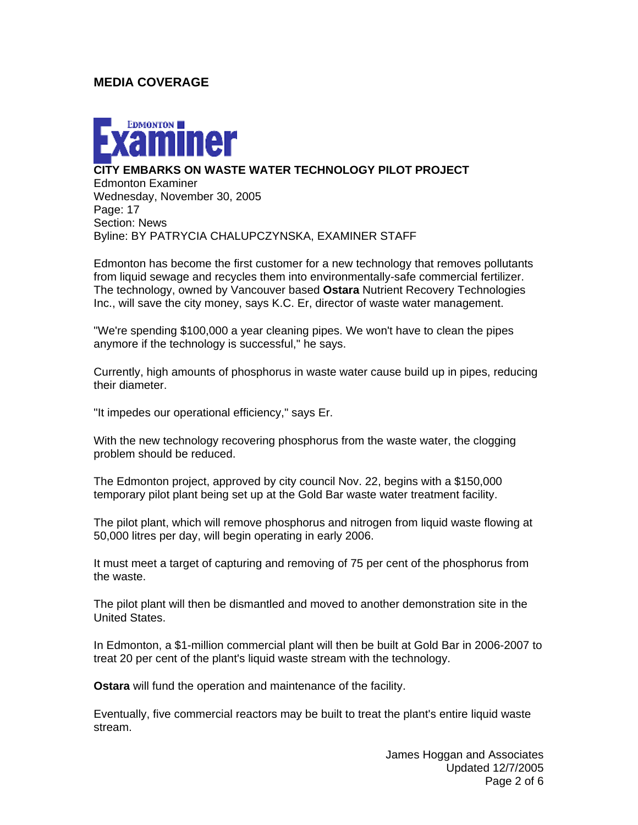### **MEDIA COVERAGE**



#### **CITY EMBARKS ON WASTE WATER TECHNOLOGY PILOT PROJECT**

Edmonton Examiner Wednesday, November 30, 2005 Page: 17 Section: News Byline: BY PATRYCIA CHALUPCZYNSKA, EXAMINER STAFF

Edmonton has become the first customer for a new technology that removes pollutants from liquid sewage and recycles them into environmentally-safe commercial fertilizer. The technology, owned by Vancouver based **Ostara** Nutrient Recovery Technologies Inc., will save the city money, says K.C. Er, director of waste water management.

"We're spending \$100,000 a year cleaning pipes. We won't have to clean the pipes anymore if the technology is successful," he says.

Currently, high amounts of phosphorus in waste water cause build up in pipes, reducing their diameter.

"It impedes our operational efficiency," says Er.

With the new technology recovering phosphorus from the waste water, the clogging problem should be reduced.

The Edmonton project, approved by city council Nov. 22, begins with a \$150,000 temporary pilot plant being set up at the Gold Bar waste water treatment facility.

The pilot plant, which will remove phosphorus and nitrogen from liquid waste flowing at 50,000 litres per day, will begin operating in early 2006.

It must meet a target of capturing and removing of 75 per cent of the phosphorus from the waste.

The pilot plant will then be dismantled and moved to another demonstration site in the United States.

In Edmonton, a \$1-million commercial plant will then be built at Gold Bar in 2006-2007 to treat 20 per cent of the plant's liquid waste stream with the technology.

**Ostara** will fund the operation and maintenance of the facility.

Eventually, five commercial reactors may be built to treat the plant's entire liquid waste stream.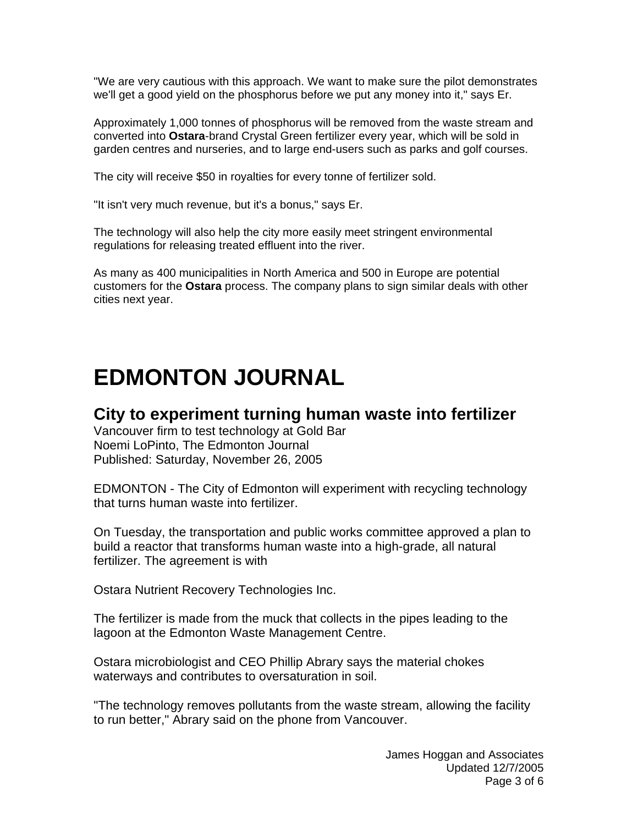"We are very cautious with this approach. We want to make sure the pilot demonstrates we'll get a good yield on the phosphorus before we put any money into it," says Er.

Approximately 1,000 tonnes of phosphorus will be removed from the waste stream and converted into **Ostara**-brand Crystal Green fertilizer every year, which will be sold in garden centres and nurseries, and to large end-users such as parks and golf courses.

The city will receive \$50 in royalties for every tonne of fertilizer sold.

"It isn't very much revenue, but it's a bonus," says Er.

The technology will also help the city more easily meet stringent environmental regulations for releasing treated effluent into the river.

As many as 400 municipalities in North America and 500 in Europe are potential customers for the **Ostara** process. The company plans to sign similar deals with other cities next year.

# **EDMONTON JOURNAL**

## **City to experiment turning human waste into fertilizer**

Vancouver firm to test technology at Gold Bar Noemi LoPinto, The Edmonton Journal Published: Saturday, November 26, 2005

EDMONTON - The City of Edmonton will experiment with recycling technology that turns human waste into fertilizer.

On Tuesday, the transportation and public works committee approved a plan to build a reactor that transforms human waste into a high-grade, all natural fertilizer. The agreement is with

Ostara Nutrient Recovery Technologies Inc.

The fertilizer is made from the muck that collects in the pipes leading to the lagoon at the Edmonton Waste Management Centre.

Ostara microbiologist and CEO Phillip Abrary says the material chokes waterways and contributes to oversaturation in soil.

"The technology removes pollutants from the waste stream, allowing the facility to run better," Abrary said on the phone from Vancouver.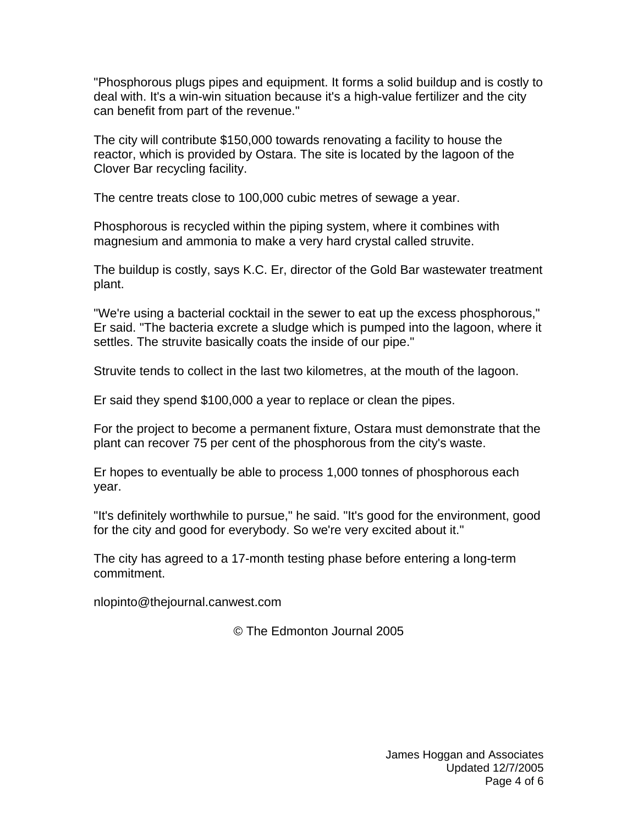"Phosphorous plugs pipes and equipment. It forms a solid buildup and is costly to deal with. It's a win-win situation because it's a high-value fertilizer and the city can benefit from part of the revenue."

The city will contribute \$150,000 towards renovating a facility to house the reactor, which is provided by Ostara. The site is located by the lagoon of the Clover Bar recycling facility.

The centre treats close to 100,000 cubic metres of sewage a year.

Phosphorous is recycled within the piping system, where it combines with magnesium and ammonia to make a very hard crystal called struvite.

The buildup is costly, says K.C. Er, director of the Gold Bar wastewater treatment plant.

"We're using a bacterial cocktail in the sewer to eat up the excess phosphorous," Er said. "The bacteria excrete a sludge which is pumped into the lagoon, where it settles. The struvite basically coats the inside of our pipe."

Struvite tends to collect in the last two kilometres, at the mouth of the lagoon.

Er said they spend \$100,000 a year to replace or clean the pipes.

For the project to become a permanent fixture, Ostara must demonstrate that the plant can recover 75 per cent of the phosphorous from the city's waste.

Er hopes to eventually be able to process 1,000 tonnes of phosphorous each year.

"It's definitely worthwhile to pursue," he said. "It's good for the environment, good for the city and good for everybody. So we're very excited about it."

The city has agreed to a 17-month testing phase before entering a long-term commitment.

nlopinto@thejournal.canwest.com

© The Edmonton Journal 2005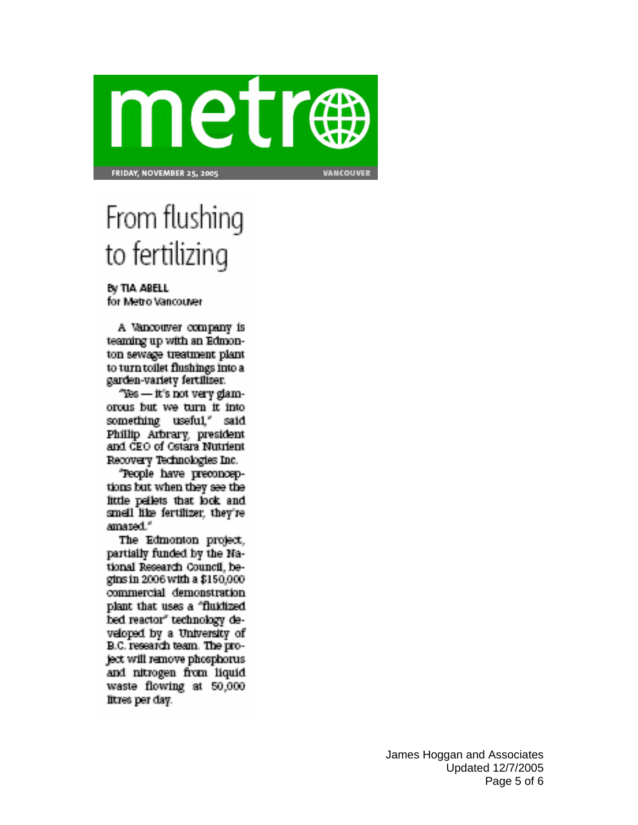

From flushing to fertilizing

By TIA ABELL for Metro Vancouver

A Vancouver company is teaming up with an Edmonton sewage treatment plant to turn toilet flushings into a garden-variety fertiliser.

"Yes — it's not very glamorous but we turn it into something useful," said. Philip Arbrary, president and CEO of Ostara Nutrient Recovery Technologies Inc.

"People have preconceptions but when they see the little pellets that look and smell like fertilizer, they're amazed."

The Edmonton project, partially funded by the National Research Council, begins in 2006 with a \$150,000. commercial demonstration plant that uses a "fluidized hed reactor" technology developed by a University of B.C. research team. The project will remove phosphorus. and nitrogen from liquid waste flowing at 50,000 litres per day.

> James Hoggan and Associates Updated 12/7/2005 Page 5 of 6